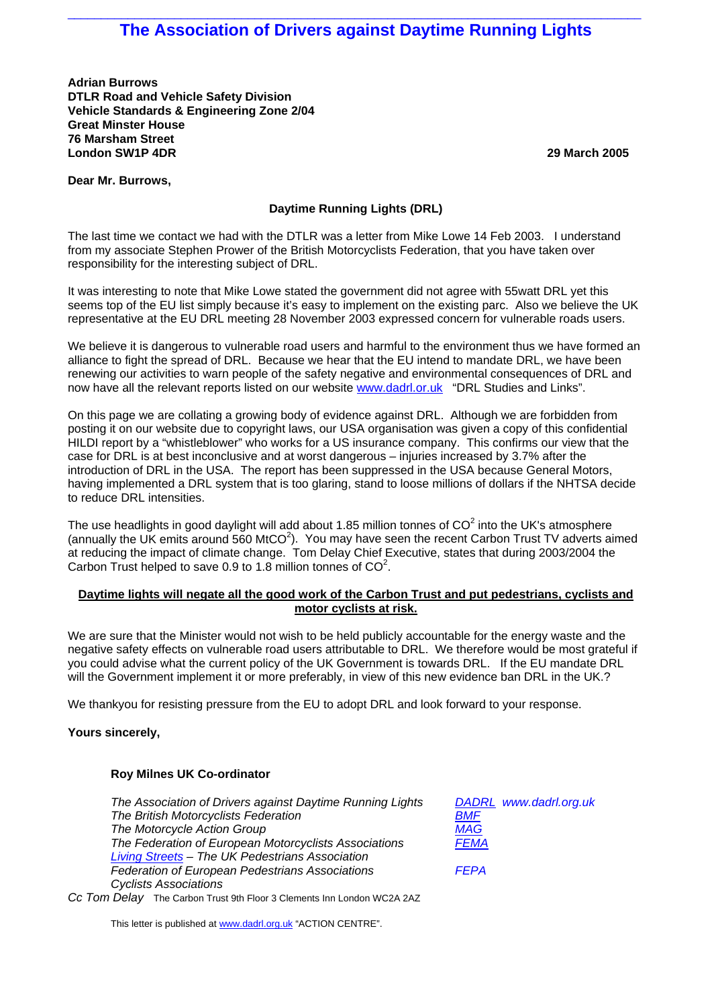# $\_$  , and the set of the set of the set of the set of the set of the set of the set of the set of the set of the set of the set of the set of the set of the set of the set of the set of the set of the set of the set of th **The Association of Drivers against Daytime Running Lights**

**Adrian Burrows DTLR Road and Vehicle Safety Division Vehicle Standards & Engineering Zone 2/04 Great Minster House 76 Marsham Street London SW1P 4DR 29 March 2005**

# **Dear Mr. Burrows,**

# **Daytime Running Lights (DRL)**

The last time we contact we had with the DTLR was a letter from Mike Lowe 14 Feb 2003. I understand from my associate Stephen Prower of the British Motorcyclists Federation, that you have taken over responsibility for the interesting subject of DRL.

It was interesting to note that Mike Lowe stated the government did not agree with 55watt DRL yet this seems top of the EU list simply because it's easy to implement on the existing parc. Also we believe the UK representative at the EU DRL meeting 28 November 2003 expressed concern for vulnerable roads users.

We believe it is dangerous to vulnerable road users and harmful to the environment thus we have formed an alliance to fight the spread of DRL. Because we hear that the EU intend to mandate DRL, we have been renewing our activities to warn people of the safety negative and environmental consequences of DRL and now have all the relevant reports listed on our website www.dadrl.or.uk "DRL Studies and Links".

On this page we are collating a growing body of evidence against DRL. Although we are forbidden from posting it on our website due to copyright laws, our USA organisation was given a copy of this confidential HILDI report by a "whistleblower" who works for a US insurance company. This confirms our view that the case for DRL is at best inconclusive and at worst dangerous – injuries increased by 3.7% after the introduction of DRL in the USA. The report has been suppressed in the USA because General Motors, having implemented a DRL system that is too glaring, stand to loose millions of dollars if the NHTSA decide to reduce DRL intensities.

The use headlights in good daylight will add about 1.85 million tonnes of CO<sup>2</sup> into the UK's atmosphere (annually the UK emits around 560 MtCO<sup>2</sup>). You may have seen the recent Carbon Trust TV adverts aimed at reducing the impact of climate change. Tom Delay Chief Executive, states that during 2003/2004 the Carbon Trust helped to save 0.9 to 1.8 million tonnes of  $CO<sup>2</sup>$ .

# **Daytime lights will negate all the good work of the Carbon Trust and put pedestrians, cyclists and motor cyclists at risk.**

We are sure that the Minister would not wish to be held publicly accountable for the energy waste and the negative safety effects on vulnerable road users attributable to DRL. We therefore would be most grateful if you could advise what the current policy of the UK Government is towards DRL. If the EU mandate DRL will the Government implement it or more preferably, in view of this new evidence ban DRL in the UK.?

We thankyou for resisting pressure from the EU to adopt DRL and look forward to your response.

# **Yours sincerely,**

# **Roy Milnes UK Co-ordinator**

| The Association of Drivers against Daytime Running Lights              | DADRL www.dadrl.org.uk |
|------------------------------------------------------------------------|------------------------|
| The British Motorcyclists Federation                                   | BMF                    |
| The Motorcycle Action Group                                            | <b>MAG</b>             |
| The Federation of European Motorcyclists Associations                  | <b>FEMA</b>            |
| Living Streets - The UK Pedestrians Association                        |                        |
| Federation of European Pedestrians Associations                        | <b>FEPA</b>            |
| <b>Cyclists Associations</b>                                           |                        |
| Cc Tom Delay The Carbon Trust 9th Floor 3 Clements Inn London WC2A 2AZ |                        |

This letter is published at [www.dadrl.org.uk](http://www.dadrl.org.uk/) "ACTION CENTRE".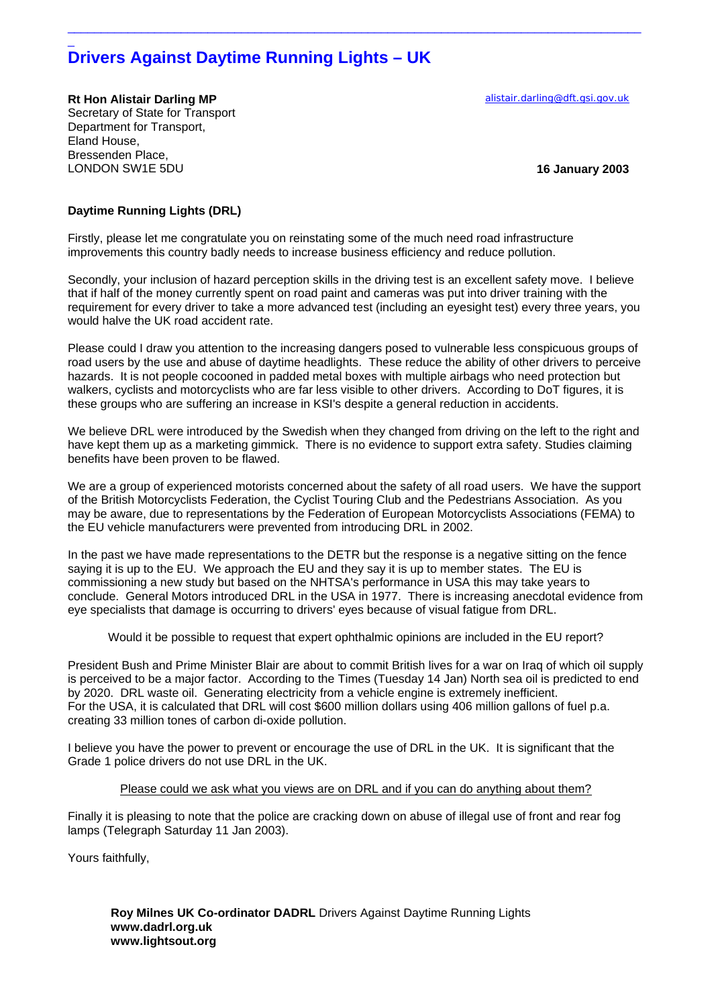# **Drivers Against Daytime Running Lights – UK**

**Rt Hon Alistair Darling MP [alistair.darling@dft.gsi.gov.uk](mailto:alistair.darling@dft.gsi.gov.uk)** Secretary of State for Transport Department for Transport, Eland House, Bressenden Place, LONDON SW1E 5DU **16 January 2003**

 $\overline{a}$ 

# **Daytime Running Lights (DRL)**

Firstly, please let me congratulate you on reinstating some of the much need road infrastructure improvements this country badly needs to increase business efficiency and reduce pollution.

Secondly, your inclusion of hazard perception skills in the driving test is an excellent safety move. I believe that if half of the money currently spent on road paint and cameras was put into driver training with the requirement for every driver to take a more advanced test (including an eyesight test) every three years, you would halve the UK road accident rate.

 $\_$  ,  $\_$  ,  $\_$  ,  $\_$  ,  $\_$  ,  $\_$  ,  $\_$  ,  $\_$  ,  $\_$  ,  $\_$  ,  $\_$  ,  $\_$  ,  $\_$  ,  $\_$  ,  $\_$  ,  $\_$  ,  $\_$  ,  $\_$  ,  $\_$  ,  $\_$  ,  $\_$  ,  $\_$  ,  $\_$  ,  $\_$  ,  $\_$  ,  $\_$  ,  $\_$  ,  $\_$  ,  $\_$  ,  $\_$  ,  $\_$  ,  $\_$  ,  $\_$  ,  $\_$  ,  $\_$  ,  $\_$  ,  $\_$  ,

Please could I draw you attention to the increasing dangers posed to vulnerable less conspicuous groups of road users by the use and abuse of daytime headlights. These reduce the ability of other drivers to perceive hazards. It is not people cocooned in padded metal boxes with multiple airbags who need protection but walkers, cyclists and motorcyclists who are far less visible to other drivers. According to DoT figures, it is these groups who are suffering an increase in KSI's despite a general reduction in accidents.

We believe DRL were introduced by the Swedish when they changed from driving on the left to the right and have kept them up as a marketing gimmick. There is no evidence to support extra safety. Studies claiming benefits have been proven to be flawed.

We are a group of experienced motorists concerned about the safety of all road users. We have the support of the British Motorcyclists Federation, the Cyclist Touring Club and the Pedestrians Association. As you may be aware, due to representations by the Federation of European Motorcyclists Associations (FEMA) to the EU vehicle manufacturers were prevented from introducing DRL in 2002.

In the past we have made representations to the DETR but the response is a negative sitting on the fence saying it is up to the EU. We approach the EU and they say it is up to member states. The EU is commissioning a new study but based on the NHTSA's performance in USA this may take years to conclude. General Motors introduced DRL in the USA in 1977. There is increasing anecdotal evidence from eye specialists that damage is occurring to drivers' eyes because of visual fatigue from DRL.

Would it be possible to request that expert ophthalmic opinions are included in the EU report?

President Bush and Prime Minister Blair are about to commit British lives for a war on Iraq of which oil supply is perceived to be a major factor. According to the Times (Tuesday 14 Jan) North sea oil is predicted to end by 2020. DRL waste oil. Generating electricity from a vehicle engine is extremely inefficient. For the USA, it is calculated that DRL will cost \$600 million dollars using 406 million gallons of fuel p.a. creating 33 million tones of carbon di-oxide pollution.

I believe you have the power to prevent or encourage the use of DRL in the UK. It is significant that the Grade 1 police drivers do not use DRL in the UK.

## Please could we ask what you views are on DRL and if you can do anything about them?

Finally it is pleasing to note that the police are cracking down on abuse of illegal use of front and rear fog lamps (Telegraph Saturday 11 Jan 2003).

Yours faithfully,

 **Roy Milnes UK Co-ordinator DADRL** Drivers Against Daytime Running Lights **www.dadrl.org.uk www.lightsout.org**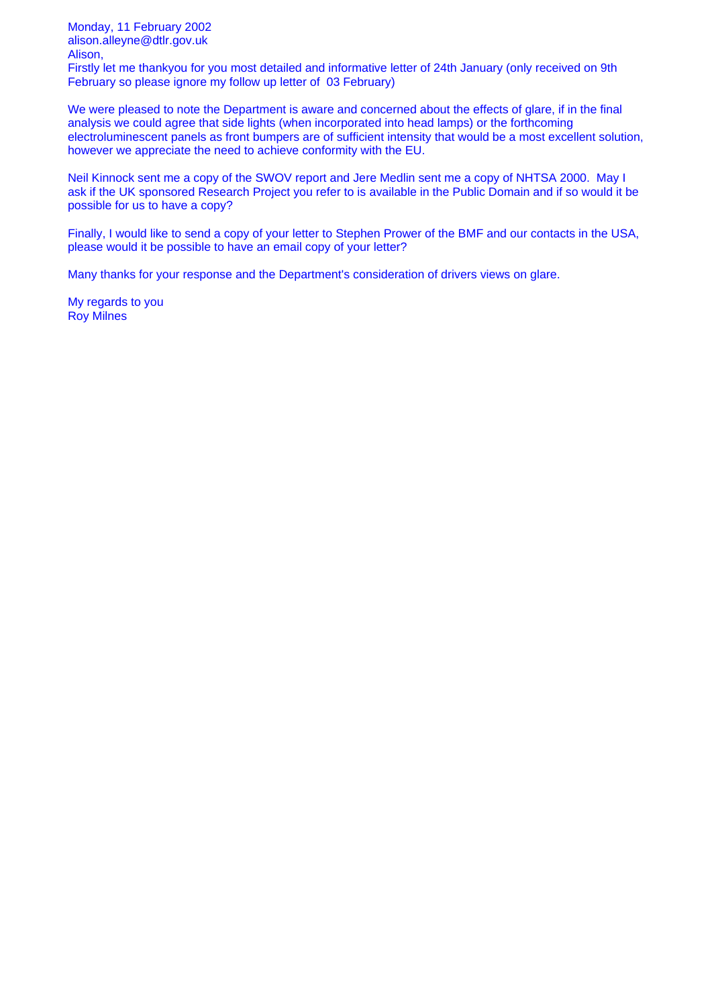Monday, 11 February 2002 alison.alleyne@dtlr.gov.uk Alison,

Firstly let me thankyou for you most detailed and informative letter of 24th January (only received on 9th February so please ignore my follow up letter of 03 February)

We were pleased to note the Department is aware and concerned about the effects of glare, if in the final analysis we could agree that side lights (when incorporated into head lamps) or the forthcoming electroluminescent panels as front bumpers are of sufficient intensity that would be a most excellent solution, however we appreciate the need to achieve conformity with the EU.

Neil Kinnock sent me a copy of the SWOV report and Jere Medlin sent me a copy of NHTSA 2000. May I ask if the UK sponsored Research Project you refer to is available in the Public Domain and if so would it be possible for us to have a copy?

Finally, I would like to send a copy of your letter to Stephen Prower of the BMF and our contacts in the USA, please would it be possible to have an email copy of your letter?

Many thanks for your response and the Department's consideration of drivers views on glare.

My regards to you Roy Milnes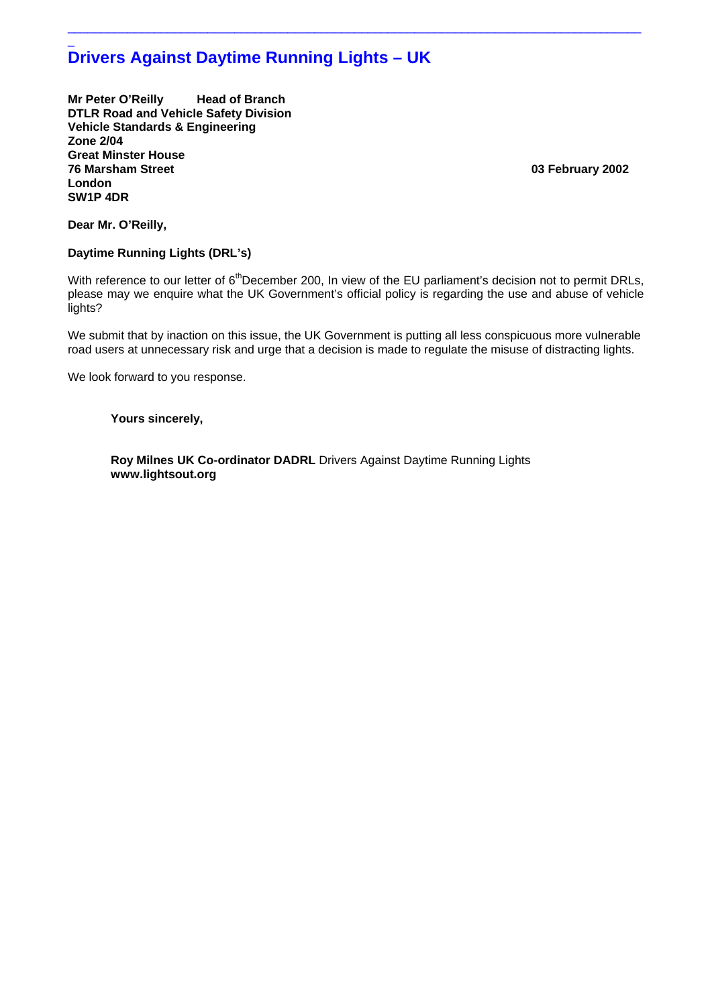# $\overline{a}$ **Drivers Against Daytime Running Lights – UK**

**Mr Peter O'Reilly Head of Branch DTLR Road and Vehicle Safety Division Vehicle Standards & Engineering Zone 2/04 Great Minster House London SW1P 4DR** 

**76 Marsham Street 03 February 2002**

**Dear Mr. O'Reilly,** 

# **Daytime Running Lights (DRL's)**

With reference to our letter of  $6<sup>th</sup>$ December 200, In view of the EU parliament's decision not to permit DRLs, please may we enquire what the UK Government's official policy is regarding the use and abuse of vehicle lights?

 $\_$  ,  $\_$  ,  $\_$  ,  $\_$  ,  $\_$  ,  $\_$  ,  $\_$  ,  $\_$  ,  $\_$  ,  $\_$  ,  $\_$  ,  $\_$  ,  $\_$  ,  $\_$  ,  $\_$  ,  $\_$  ,  $\_$  ,  $\_$  ,  $\_$  ,  $\_$  ,  $\_$  ,  $\_$  ,  $\_$  ,  $\_$  ,  $\_$  ,  $\_$  ,  $\_$  ,  $\_$  ,  $\_$  ,  $\_$  ,  $\_$  ,  $\_$  ,  $\_$  ,  $\_$  ,  $\_$  ,  $\_$  ,  $\_$  ,

We submit that by inaction on this issue, the UK Government is putting all less conspicuous more vulnerable road users at unnecessary risk and urge that a decision is made to regulate the misuse of distracting lights.

We look forward to you response.

# **Yours sincerely,**

 **Roy Milnes UK Co-ordinator DADRL** Drivers Against Daytime Running Lights  **www.lightsout.org**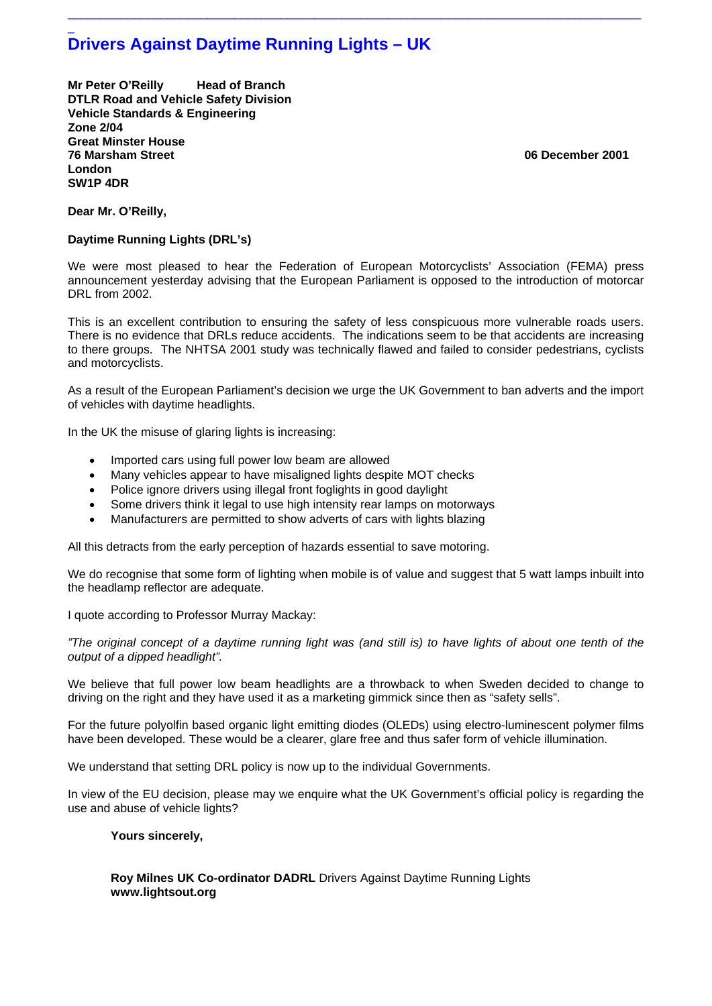# \_ **Drivers Against Daytime Running Lights – UK**

**Mr Peter O'Reilly Head of Branch DTLR Road and Vehicle Safety Division Vehicle Standards & Engineering Zone 2/04 Great Minster House 76 Marsham Street 06 December 2001 London SW1P 4DR** 

**Dear Mr. O'Reilly,** 

# **Daytime Running Lights (DRL's)**

We were most pleased to hear the Federation of European Motorcyclists' Association (FEMA) press announcement yesterday advising that the European Parliament is opposed to the introduction of motorcar DRL from 2002.

 $\_$  ,  $\_$  ,  $\_$  ,  $\_$  ,  $\_$  ,  $\_$  ,  $\_$  ,  $\_$  ,  $\_$  ,  $\_$  ,  $\_$  ,  $\_$  ,  $\_$  ,  $\_$  ,  $\_$  ,  $\_$  ,  $\_$  ,  $\_$  ,  $\_$  ,  $\_$  ,  $\_$  ,  $\_$  ,  $\_$  ,  $\_$  ,  $\_$  ,  $\_$  ,  $\_$  ,  $\_$  ,  $\_$  ,  $\_$  ,  $\_$  ,  $\_$  ,  $\_$  ,  $\_$  ,  $\_$  ,  $\_$  ,  $\_$  ,

This is an excellent contribution to ensuring the safety of less conspicuous more vulnerable roads users. There is no evidence that DRLs reduce accidents. The indications seem to be that accidents are increasing to there groups. The NHTSA 2001 study was technically flawed and failed to consider pedestrians, cyclists and motorcyclists.

As a result of the European Parliament's decision we urge the UK Government to ban adverts and the import of vehicles with daytime headlights.

In the UK the misuse of glaring lights is increasing:

- Imported cars using full power low beam are allowed
- Many vehicles appear to have misaligned lights despite MOT checks
- Police ignore drivers using illegal front foglights in good daylight
- Some drivers think it legal to use high intensity rear lamps on motorways
- Manufacturers are permitted to show adverts of cars with lights blazing

All this detracts from the early perception of hazards essential to save motoring.

We do recognise that some form of lighting when mobile is of value and suggest that 5 watt lamps inbuilt into the headlamp reflector are adequate.

I quote according to Professor Murray Mackay:

*"The original concept of a daytime running light was (and still is) to have lights of about one tenth of the output of a dipped headlight".*

We believe that full power low beam headlights are a throwback to when Sweden decided to change to driving on the right and they have used it as a marketing gimmick since then as "safety sells".

For the future polyolfin based organic light emitting diodes (OLEDs) using electro-luminescent polymer films have been developed. These would be a clearer, glare free and thus safer form of vehicle illumination.

We understand that setting DRL policy is now up to the individual Governments.

In view of the EU decision, please may we enquire what the UK Government's official policy is regarding the use and abuse of vehicle lights?

# **Yours sincerely,**

 **Roy Milnes UK Co-ordinator DADRL** Drivers Against Daytime Running Lights  **www.lightsout.org**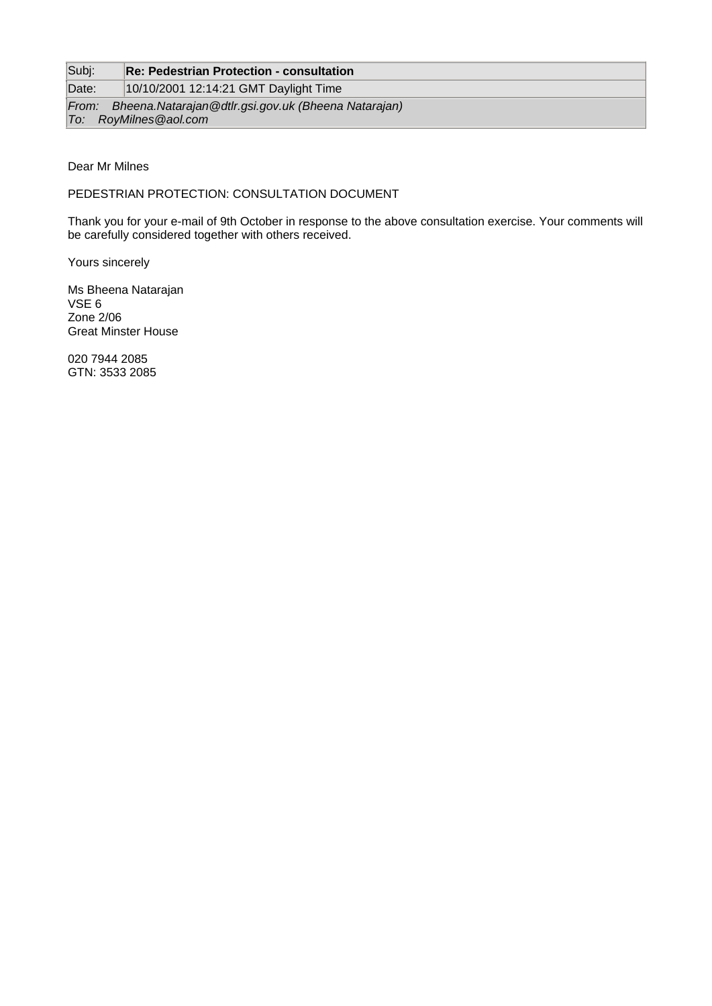# Subj: **Re: Pedestrian Protection - consultation**

Date: 10/10/2001 12:14:21 GMT Daylight Time

*From: Bheena.Natarajan@dtlr.gsi.gov.uk (Bheena Natarajan) To: RoyMilnes@aol.com*

# Dear Mr Milnes

PEDESTRIAN PROTECTION: CONSULTATION DOCUMENT

Thank you for your e-mail of 9th October in response to the above consultation exercise. Your comments will be carefully considered together with others received.

Yours sincerely

Ms Bheena Natarajan VSE 6 Zone 2/06 Great Minster House

020 7944 2085 GTN: 3533 2085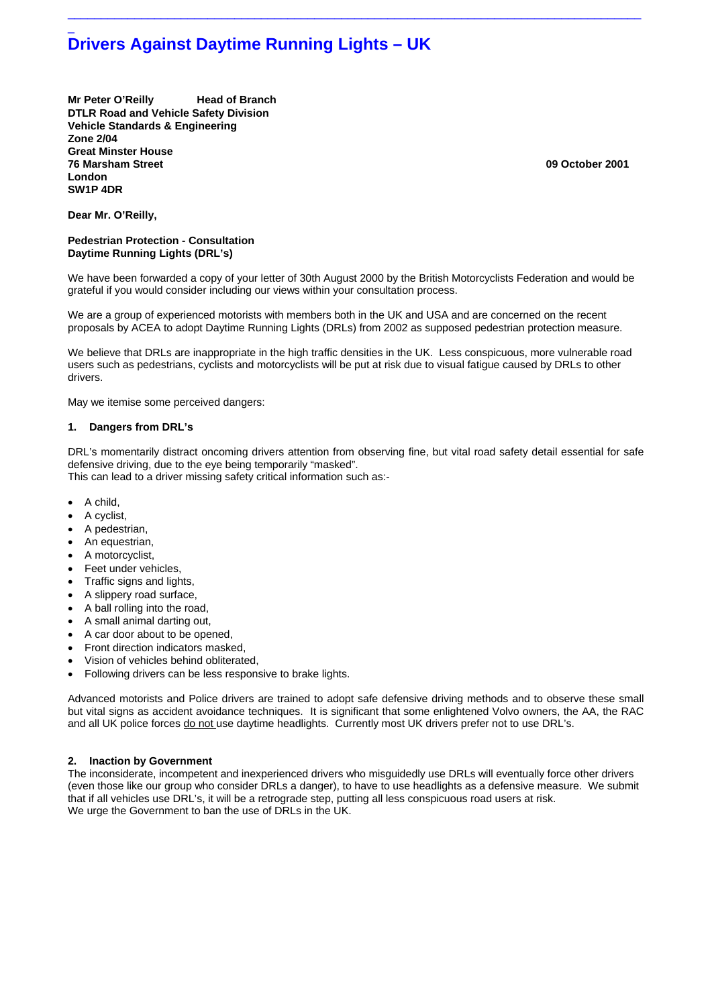# \_ **Drivers Against Daytime Running Lights – UK**

**Mr Peter O'Reilly Head of Branch DTLR Road and Vehicle Safety Division Vehicle Standards & Engineering Zone 2/04 Great Minster House 76 Marsham Street 09 October 2001 London SW1P 4DR** 

**Dear Mr. O'Reilly,** 

## **Pedestrian Protection - Consultation Daytime Running Lights (DRL's)**

We have been forwarded a copy of your letter of 30th August 2000 by the British Motorcyclists Federation and would be grateful if you would consider including our views within your consultation process.

 $\_$  ,  $\_$  ,  $\_$  ,  $\_$  ,  $\_$  ,  $\_$  ,  $\_$  ,  $\_$  ,  $\_$  ,  $\_$  ,  $\_$  ,  $\_$  ,  $\_$  ,  $\_$  ,  $\_$  ,  $\_$  ,  $\_$  ,  $\_$  ,  $\_$  ,  $\_$  ,  $\_$  ,  $\_$  ,  $\_$  ,  $\_$  ,  $\_$  ,  $\_$  ,  $\_$  ,  $\_$  ,  $\_$  ,  $\_$  ,  $\_$  ,  $\_$  ,  $\_$  ,  $\_$  ,  $\_$  ,  $\_$  ,  $\_$  ,

We are a group of experienced motorists with members both in the UK and USA and are concerned on the recent proposals by ACEA to adopt Daytime Running Lights (DRLs) from 2002 as supposed pedestrian protection measure.

We believe that DRLs are inappropriate in the high traffic densities in the UK. Less conspicuous, more vulnerable road users such as pedestrians, cyclists and motorcyclists will be put at risk due to visual fatigue caused by DRLs to other drivers.

May we itemise some perceived dangers:

## **1. Dangers from DRL's**

DRL's momentarily distract oncoming drivers attention from observing fine, but vital road safety detail essential for safe defensive driving, due to the eye being temporarily "masked".

This can lead to a driver missing safety critical information such as:-

- A child,
- A cyclist,
- A pedestrian,
- An equestrian,
- A motorcyclist,
- Feet under vehicles,
- Traffic signs and lights,
- A slippery road surface,
- A ball rolling into the road,
- A small animal darting out,
- A car door about to be opened,
- Front direction indicators masked,
- Vision of vehicles behind obliterated,
- Following drivers can be less responsive to brake lights.

Advanced motorists and Police drivers are trained to adopt safe defensive driving methods and to observe these small but vital signs as accident avoidance techniques. It is significant that some enlightened Volvo owners, the AA, the RAC and all UK police forces do not use daytime headlights. Currently most UK drivers prefer not to use DRL's.

## **2. Inaction by Government**

The inconsiderate, incompetent and inexperienced drivers who misguidedly use DRLs will eventually force other drivers (even those like our group who consider DRLs a danger), to have to use headlights as a defensive measure. We submit that if all vehicles use DRL's, it will be a retrograde step, putting all less conspicuous road users at risk. We urge the Government to ban the use of DRLs in the UK.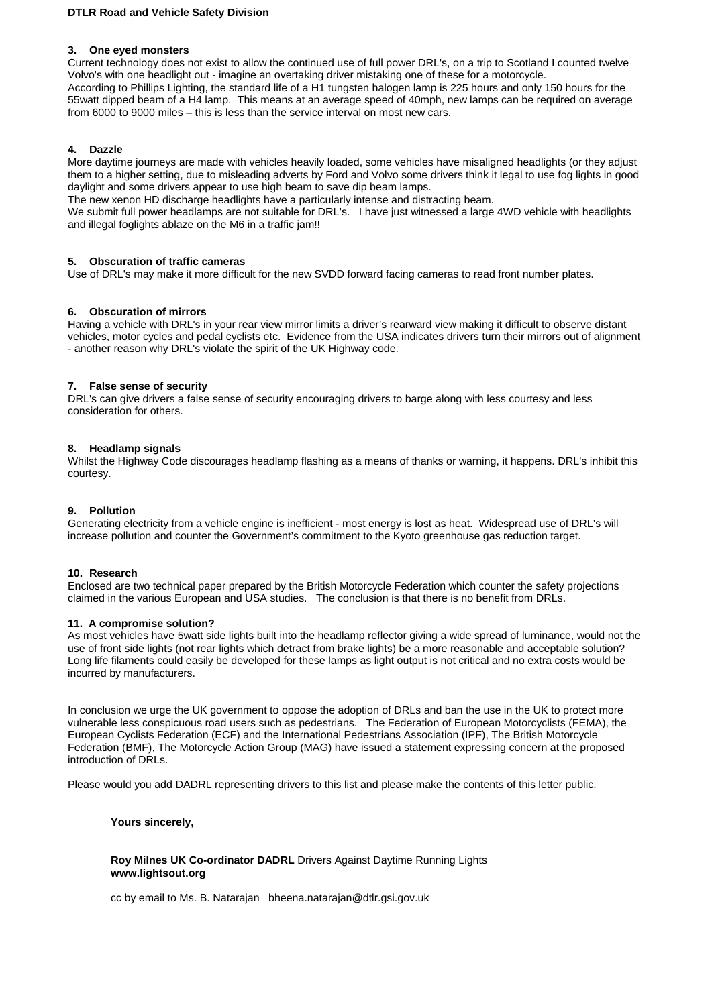# **DTLR Road and Vehicle Safety Division**

# **3. One eyed monsters**

Current technology does not exist to allow the continued use of full power DRL's, on a trip to Scotland I counted twelve Volvo's with one headlight out - imagine an overtaking driver mistaking one of these for a motorcycle. According to Phillips Lighting, the standard life of a H1 tungsten halogen lamp is 225 hours and only 150 hours for the 55watt dipped beam of a H4 lamp. This means at an average speed of 40mph, new lamps can be required on average from 6000 to 9000 miles – this is less than the service interval on most new cars.

# **4. Dazzle**

More daytime journeys are made with vehicles heavily loaded, some vehicles have misaligned headlights (or they adjust them to a higher setting, due to misleading adverts by Ford and Volvo some drivers think it legal to use fog lights in good daylight and some drivers appear to use high beam to save dip beam lamps.

The new xenon HD discharge headlights have a particularly intense and distracting beam.

We submit full power headlamps are not suitable for DRL's. I have just witnessed a large 4WD vehicle with headlights and illegal foglights ablaze on the M6 in a traffic jam!!

# **5. Obscuration of traffic cameras**

Use of DRL's may make it more difficult for the new SVDD forward facing cameras to read front number plates.

# **6. Obscuration of mirrors**

Having a vehicle with DRL's in your rear view mirror limits a driver's rearward view making it difficult to observe distant vehicles, motor cycles and pedal cyclists etc. Evidence from the USA indicates drivers turn their mirrors out of alignment - another reason why DRL's violate the spirit of the UK Highway code.

# **7. False sense of security**

DRL's can give drivers a false sense of security encouraging drivers to barge along with less courtesy and less consideration for others.

# **8. Headlamp signals**

Whilst the Highway Code discourages headlamp flashing as a means of thanks or warning, it happens. DRL's inhibit this courtesy.

# **9. Pollution**

Generating electricity from a vehicle engine is inefficient - most energy is lost as heat. Widespread use of DRL's will increase pollution and counter the Government's commitment to the Kyoto greenhouse gas reduction target.

## **10. Research**

Enclosed are two technical paper prepared by the British Motorcycle Federation which counter the safety projections claimed in the various European and USA studies. The conclusion is that there is no benefit from DRLs.

## **11. A compromise solution?**

As most vehicles have 5watt side lights built into the headlamp reflector giving a wide spread of luminance, would not the use of front side lights (not rear lights which detract from brake lights) be a more reasonable and acceptable solution? Long life filaments could easily be developed for these lamps as light output is not critical and no extra costs would be incurred by manufacturers.

In conclusion we urge the UK government to oppose the adoption of DRLs and ban the use in the UK to protect more vulnerable less conspicuous road users such as pedestrians. The Federation of European Motorcyclists (FEMA), the European Cyclists Federation (ECF) and the International Pedestrians Association (IPF), The British Motorcycle Federation (BMF), The Motorcycle Action Group (MAG) have issued a statement expressing concern at the proposed introduction of DRLs.

Please would you add DADRL representing drivers to this list and please make the contents of this letter public.

## **Yours sincerely,**

## **Roy Milnes UK Co-ordinator DADRL** Drivers Against Daytime Running Lights  **www.lightsout.org**

cc by email to Ms. B. Natarajan bheena.natarajan@dtlr.gsi.gov.uk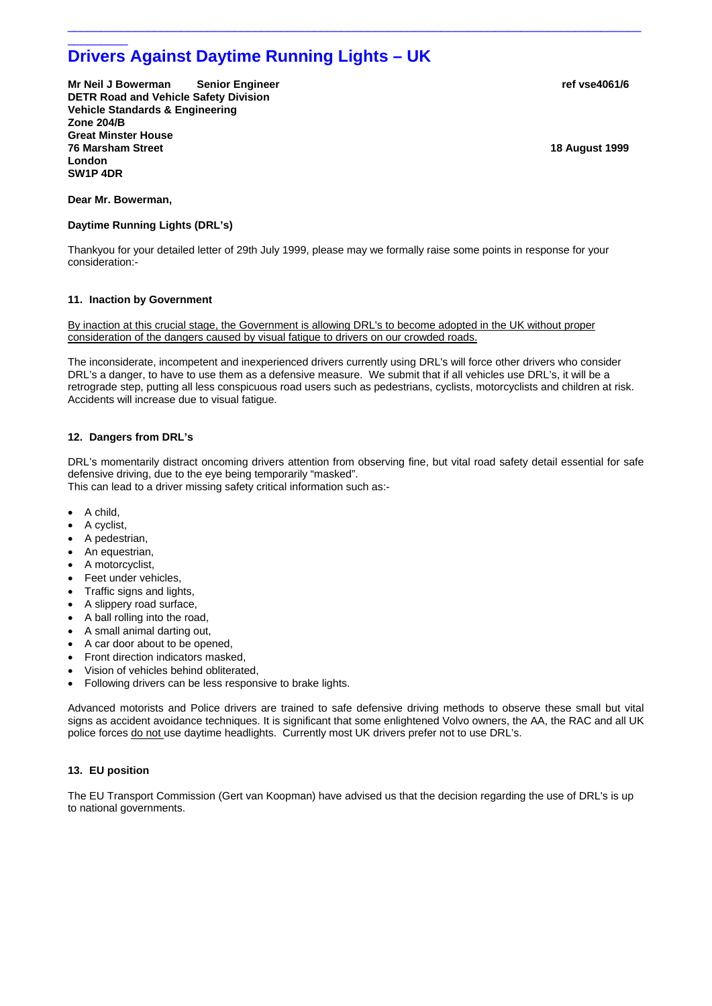# \_\_\_\_\_\_\_\_\_ **Drivers Against Daytime Running Lights – UK**

**Mr Neil J Bowerman Senior Engineer ref vsetople and vertical state of the vsetople of the vse4061/6**  $\mu$ **DETR Road and Vehicle Safety Division Vehicle Standards & Engineering Zone 204/B Great Minster House 76 Marsham Street 18 August 1999 London SW1P 4DR** 

#### **Dear Mr. Bowerman,**

## **Daytime Running Lights (DRL's)**

Thankyou for your detailed letter of 29th July 1999, please may we formally raise some points in response for your consideration:-

 $\_$  ,  $\_$  ,  $\_$  ,  $\_$  ,  $\_$  ,  $\_$  ,  $\_$  ,  $\_$  ,  $\_$  ,  $\_$  ,  $\_$  ,  $\_$  ,  $\_$  ,  $\_$  ,  $\_$  ,  $\_$  ,  $\_$  ,  $\_$  ,  $\_$  ,  $\_$  ,  $\_$  ,  $\_$  ,  $\_$  ,  $\_$  ,  $\_$  ,  $\_$  ,  $\_$  ,  $\_$  ,  $\_$  ,  $\_$  ,  $\_$  ,  $\_$  ,  $\_$  ,  $\_$  ,  $\_$  ,  $\_$  ,  $\_$  ,

#### **11. Inaction by Government**

By inaction at this crucial stage, the Government is allowing DRL's to become adopted in the UK without proper consideration of the dangers caused by visual fatigue to drivers on our crowded roads.

The inconsiderate, incompetent and inexperienced drivers currently using DRL's will force other drivers who consider DRL's a danger, to have to use them as a defensive measure. We submit that if all vehicles use DRL's, it will be a retrograde step, putting all less conspicuous road users such as pedestrians, cyclists, motorcyclists and children at risk. Accidents will increase due to visual fatigue.

## **12. Dangers from DRL's**

DRL's momentarily distract oncoming drivers attention from observing fine, but vital road safety detail essential for safe defensive driving, due to the eye being temporarily "masked". This can lead to a driver missing safety critical information such as:-

- A child,
- A cyclist,
- A pedestrian,
- An equestrian,
- A motorcyclist,
- Feet under vehicles,
- Traffic signs and lights,
- A slippery road surface,
- A ball rolling into the road,
- A small animal darting out,
- A car door about to be opened,
- Front direction indicators masked,
- Vision of vehicles behind obliterated,
- Following drivers can be less responsive to brake lights.

Advanced motorists and Police drivers are trained to safe defensive driving methods to observe these small but vital signs as accident avoidance techniques. It is significant that some enlightened Volvo owners, the AA, the RAC and all UK police forces do not use daytime headlights. Currently most UK drivers prefer not to use DRL's.

## **13. EU position**

The EU Transport Commission (Gert van Koopman) have advised us that the decision regarding the use of DRL's is up to national governments.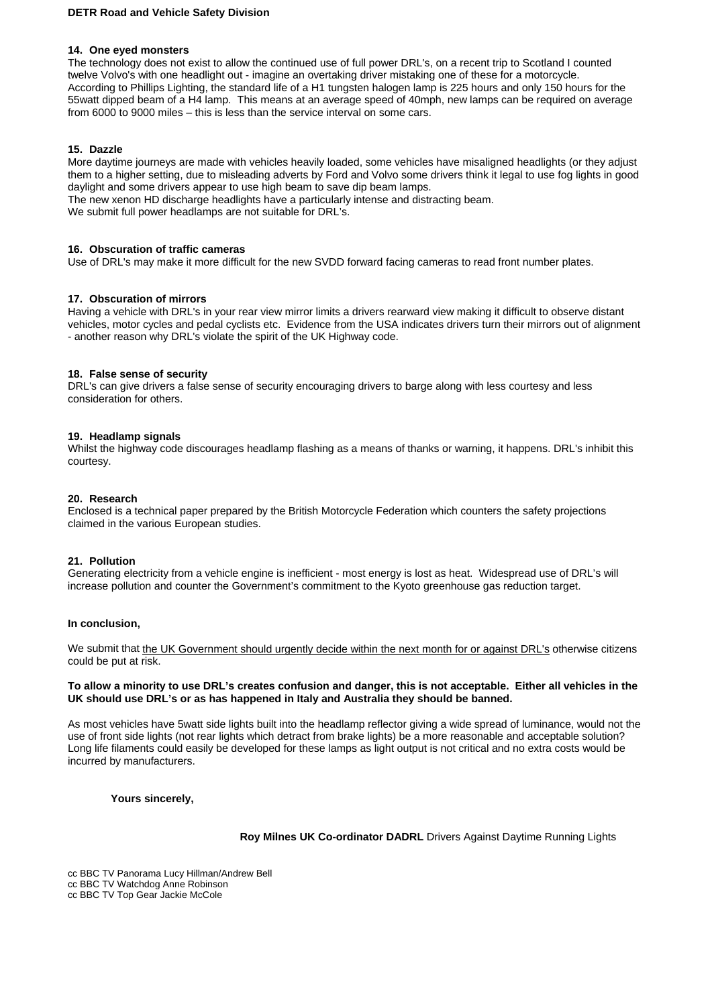# **DETR Road and Vehicle Safety Division**

## **14. One eyed monsters**

The technology does not exist to allow the continued use of full power DRL's, on a recent trip to Scotland I counted twelve Volvo's with one headlight out - imagine an overtaking driver mistaking one of these for a motorcycle. According to Phillips Lighting, the standard life of a H1 tungsten halogen lamp is 225 hours and only 150 hours for the 55watt dipped beam of a H4 lamp. This means at an average speed of 40mph, new lamps can be required on average from 6000 to 9000 miles – this is less than the service interval on some cars.

## **15. Dazzle**

More daytime journeys are made with vehicles heavily loaded, some vehicles have misaligned headlights (or they adjust them to a higher setting, due to misleading adverts by Ford and Volvo some drivers think it legal to use fog lights in good daylight and some drivers appear to use high beam to save dip beam lamps.

The new xenon HD discharge headlights have a particularly intense and distracting beam.

We submit full power headlamps are not suitable for DRL's.

#### **16. Obscuration of traffic cameras**

Use of DRL's may make it more difficult for the new SVDD forward facing cameras to read front number plates.

#### **17. Obscuration of mirrors**

Having a vehicle with DRL's in your rear view mirror limits a drivers rearward view making it difficult to observe distant vehicles, motor cycles and pedal cyclists etc. Evidence from the USA indicates drivers turn their mirrors out of alignment - another reason why DRL's violate the spirit of the UK Highway code.

## **18. False sense of security**

DRL's can give drivers a false sense of security encouraging drivers to barge along with less courtesy and less consideration for others.

#### **19. Headlamp signals**

Whilst the highway code discourages headlamp flashing as a means of thanks or warning, it happens. DRL's inhibit this courtesy.

#### **20. Research**

Enclosed is a technical paper prepared by the British Motorcycle Federation which counters the safety projections claimed in the various European studies.

## **21. Pollution**

Generating electricity from a vehicle engine is inefficient - most energy is lost as heat. Widespread use of DRL's will increase pollution and counter the Government's commitment to the Kyoto greenhouse gas reduction target.

#### **In conclusion,**

We submit that the UK Government should urgently decide within the next month for or against DRL's otherwise citizens could be put at risk.

## **To allow a minority to use DRL's creates confusion and danger, this is not acceptable. Either all vehicles in the UK should use DRL's or as has happened in Italy and Australia they should be banned.**

As most vehicles have 5watt side lights built into the headlamp reflector giving a wide spread of luminance, would not the use of front side lights (not rear lights which detract from brake lights) be a more reasonable and acceptable solution? Long life filaments could easily be developed for these lamps as light output is not critical and no extra costs would be incurred by manufacturers.

 **Yours sincerely,** 

 **Roy Milnes UK Co-ordinator DADRL** Drivers Against Daytime Running Lights

cc BBC TV Panorama Lucy Hillman/Andrew Bell cc BBC TV Watchdog Anne Robinson cc BBC TV Top Gear Jackie McCole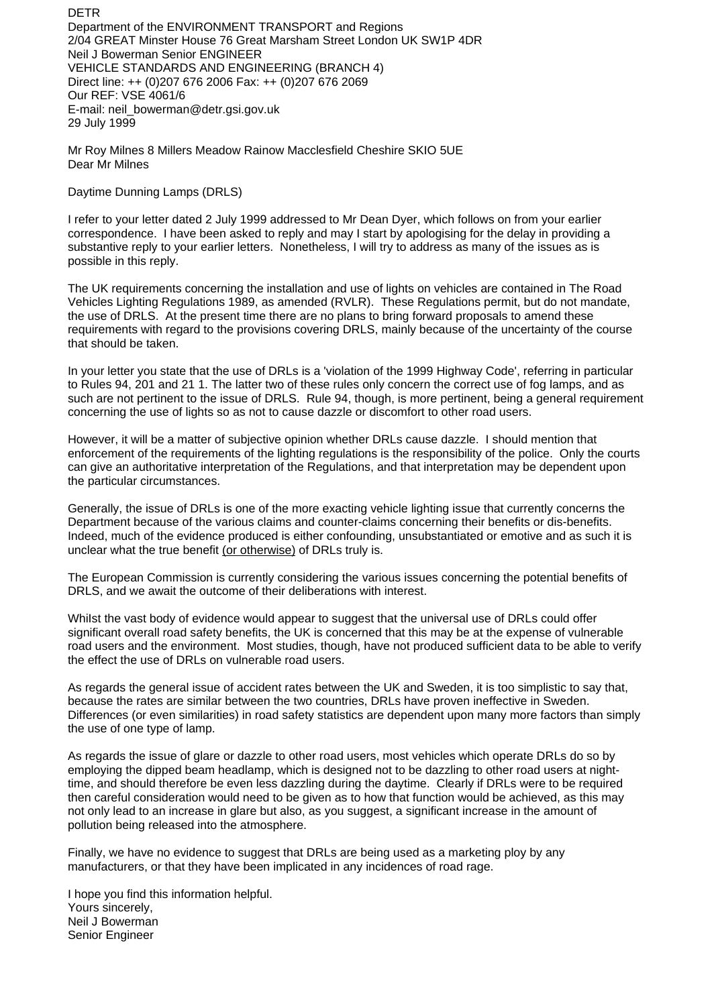DETR Department of the ENVIRONMENT TRANSPORT and Regions 2/04 GREAT Minster House 76 Great Marsham Street London UK SW1P 4DR Neil J Bowerman Senior ENGINEER VEHICLE STANDARDS AND ENGINEERING (BRANCH 4) Direct line: ++ (0)207 676 2006 Fax: ++ (0)207 676 2069 Our REF: VSE 4061/6 E-mail: neil\_bowerman@detr.gsi.gov.uk 29 July 1999

Mr Roy Milnes 8 Millers Meadow Rainow Macclesfield Cheshire SKIO 5UE Dear Mr Milnes

Daytime Dunning Lamps (DRLS)

I refer to your letter dated 2 July 1999 addressed to Mr Dean Dyer, which follows on from your earlier correspondence. I have been asked to reply and may I start by apologising for the delay in providing a substantive reply to your earlier letters. Nonetheless, I will try to address as many of the issues as is possible in this reply.

The UK requirements concerning the installation and use of lights on vehicles are contained in The Road Vehicles Lighting Regulations 1989, as amended (RVLR). These Regulations permit, but do not mandate, the use of DRLS. At the present time there are no plans to bring forward proposals to amend these requirements with regard to the provisions covering DRLS, mainly because of the uncertainty of the course that should be taken.

In your letter you state that the use of DRLs is a 'violation of the 1999 Highway Code', referring in particular to Rules 94, 201 and 21 1. The latter two of these rules only concern the correct use of fog lamps, and as such are not pertinent to the issue of DRLS. Rule 94, though, is more pertinent, being a general requirement concerning the use of lights so as not to cause dazzle or discomfort to other road users.

However, it will be a matter of subjective opinion whether DRLs cause dazzle. I should mention that enforcement of the requirements of the lighting regulations is the responsibility of the police. Only the courts can give an authoritative interpretation of the Regulations, and that interpretation may be dependent upon the particular circumstances.

Generally, the issue of DRLs is one of the more exacting vehicle lighting issue that currently concerns the Department because of the various claims and counter-claims concerning their benefits or dis-benefits. Indeed, much of the evidence produced is either confounding, unsubstantiated or emotive and as such it is unclear what the true benefit (or otherwise) of DRLs truly is.

The European Commission is currently considering the various issues concerning the potential benefits of DRLS, and we await the outcome of their deliberations with interest.

Whilst the vast body of evidence would appear to suggest that the universal use of DRLs could offer significant overall road safety benefits, the UK is concerned that this may be at the expense of vulnerable road users and the environment. Most studies, though, have not produced sufficient data to be able to verify the effect the use of DRLs on vulnerable road users.

As regards the general issue of accident rates between the UK and Sweden, it is too simplistic to say that, because the rates are similar between the two countries, DRLs have proven ineffective in Sweden. Differences (or even similarities) in road safety statistics are dependent upon many more factors than simply the use of one type of lamp.

As regards the issue of glare or dazzle to other road users, most vehicles which operate DRLs do so by employing the dipped beam headlamp, which is designed not to be dazzling to other road users at nighttime, and should therefore be even less dazzling during the daytime. Clearly if DRLs were to be required then careful consideration would need to be given as to how that function would be achieved, as this may not only lead to an increase in glare but also, as you suggest, a significant increase in the amount of pollution being released into the atmosphere.

Finally, we have no evidence to suggest that DRLs are being used as a marketing ploy by any manufacturers, or that they have been implicated in any incidences of road rage.

I hope you find this information helpful. Yours sincerely, Neil J Bowerman Senior Engineer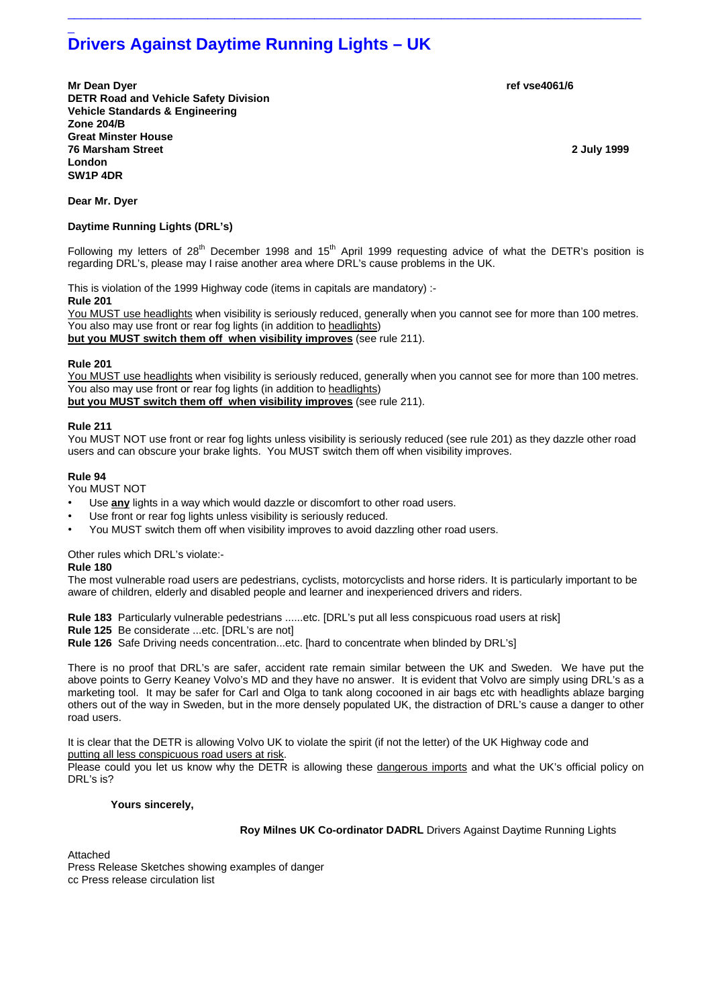# \_ **Drivers Against Daytime Running Lights – UK**

**Mr Dean Dyer ref vse4061/6 DETR Road and Vehicle Safety Division Vehicle Standards & Engineering Zone 204/B Great Minster House 76 Marsham Street 2 July 1999 London SW1P 4DR** 

**Dear Mr. Dyer** 

## **Daytime Running Lights (DRL's)**

Following my letters of  $28<sup>th</sup>$  December 1998 and 15<sup>th</sup> April 1999 requesting advice of what the DETR's position is regarding DRL's, please may I raise another area where DRL's cause problems in the UK.

 $\_$  ,  $\_$  ,  $\_$  ,  $\_$  ,  $\_$  ,  $\_$  ,  $\_$  ,  $\_$  ,  $\_$  ,  $\_$  ,  $\_$  ,  $\_$  ,  $\_$  ,  $\_$  ,  $\_$  ,  $\_$  ,  $\_$  ,  $\_$  ,  $\_$  ,  $\_$  ,  $\_$  ,  $\_$  ,  $\_$  ,  $\_$  ,  $\_$  ,  $\_$  ,  $\_$  ,  $\_$  ,  $\_$  ,  $\_$  ,  $\_$  ,  $\_$  ,  $\_$  ,  $\_$  ,  $\_$  ,  $\_$  ,  $\_$  ,

This is violation of the 1999 Highway code (items in capitals are mandatory) :- **Rule 201** 

You MUST use headlights when visibility is seriously reduced, generally when you cannot see for more than 100 metres. You also may use front or rear fog lights (in addition to headlights) **but you MUST switch them off when visibility improves** (see rule 211).

# **Rule 201**

You MUST use headlights when visibility is seriously reduced, generally when you cannot see for more than 100 metres. You also may use front or rear fog lights (in addition to headlights) **but you MUST switch them off when visibility improves** (see rule 211).

# **Rule 211**

You MUST NOT use front or rear fog lights unless visibility is seriously reduced (see rule 201) as they dazzle other road users and can obscure your brake lights. You MUST switch them off when visibility improves.

## **Rule 94**

You MUST NOT

- Use **any** lights in a way which would dazzle or discomfort to other road users.
- Use front or rear fog lights unless visibility is seriously reduced.
- You MUST switch them off when visibility improves to avoid dazzling other road users.

Other rules which DRL's violate:-

#### **Rule 180**

The most vulnerable road users are pedestrians, cyclists, motorcyclists and horse riders. It is particularly important to be aware of children, elderly and disabled people and learner and inexperienced drivers and riders.

**Rule 183** Particularly vulnerable pedestrians ......etc. [DRL's put all less conspicuous road users at risk]

**Rule 125** Be considerate ...etc. [DRL's are not]

**Rule 126** Safe Driving needs concentration...etc. [hard to concentrate when blinded by DRL's]

There is no proof that DRL's are safer, accident rate remain similar between the UK and Sweden. We have put the above points to Gerry Keaney Volvo's MD and they have no answer. It is evident that Volvo are simply using DRL's as a marketing tool. It may be safer for Carl and Olga to tank along cocooned in air bags etc with headlights ablaze barging others out of the way in Sweden, but in the more densely populated UK, the distraction of DRL's cause a danger to other road users.

It is clear that the DETR is allowing Volvo UK to violate the spirit (if not the letter) of the UK Highway code and putting all less conspicuous road users at risk.

Please could you let us know why the DETR is allowing these dangerous imports and what the UK's official policy on DRL's is?

## **Yours sincerely,**

 **Roy Milnes UK Co-ordinator DADRL** Drivers Against Daytime Running Lights

Attached

Press Release Sketches showing examples of danger cc Press release circulation list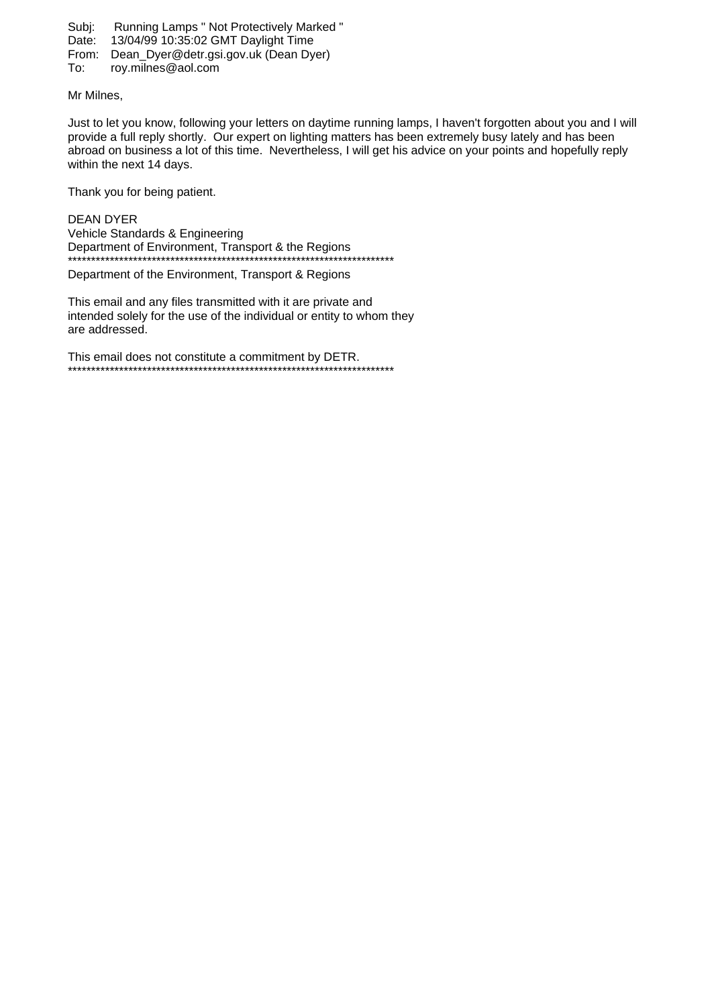Subj: Running Lamps " Not Protectively Marked "

- Date: 13/04/99 10:35:02 GMT Daylight Time
- From: Dean\_Dyer@detr.gsi.gov.uk (Dean Dyer)
- To: roy.milnes@aol.com

Mr Milnes,

Just to let you know, following your letters on daytime running lamps, I haven't forgotten about you and I will provide a full reply shortly. Our expert on lighting matters has been extremely busy lately and has been abroad on business a lot of this time. Nevertheless, I will get his advice on your points and hopefully reply within the next 14 days.

Thank you for being patient.

DEAN DYER Vehicle Standards & Engineering Department of Environment, Transport & the Regions \*\*\*\*\*\*\*\*\*\*\*\*\*\*\*\*\*\*\*\*\*\*\*\*\*\*\*\*\*\*\*\*\*\*\*\*\*\*\*\*\*\*\*\*\*\*\*\*\*\*\*\*\*\*\*\*\*\*\*\*\*\*\*\*\*\*\*\*\*\*

Department of the Environment, Transport & Regions

This email and any files transmitted with it are private and intended solely for the use of the individual or entity to whom they are addressed.

This email does not constitute a commitment by DETR. \*\*\*\*\*\*\*\*\*\*\*\*\*\*\*\*\*\*\*\*\*\*\*\*\*\*\*\*\*\*\*\*\*\*\*\*\*\*\*\*\*\*\*\*\*\*\*\*\*\*\*\*\*\*\*\*\*\*\*\*\*\*\*\*\*\*\*\*\*\*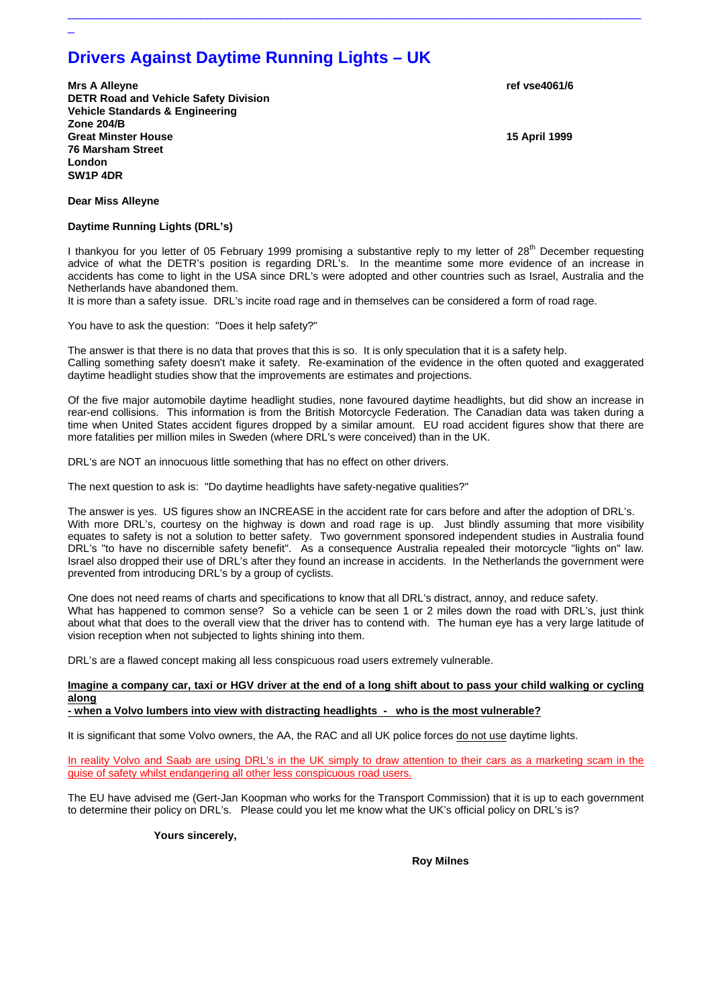# **Drivers Against Daytime Running Lights – UK**

**Mrs A Alleyne ref vse4061/6 DETR Road and Vehicle Safety Division Vehicle Standards & Engineering Zone 204/B Great Minster House 15 April 1999 76 Marsham Street London SW1P 4DR** 

**Dear Miss Alleyne** 

\_

## **Daytime Running Lights (DRL's)**

I thankyou for you letter of 05 February 1999 promising a substantive reply to my letter of 28<sup>th</sup> December requesting advice of what the DETR's position is regarding DRL's. In the meantime some more evidence of an increase in accidents has come to light in the USA since DRL's were adopted and other countries such as Israel, Australia and the Netherlands have abandoned them.

 $\_$  ,  $\_$  ,  $\_$  ,  $\_$  ,  $\_$  ,  $\_$  ,  $\_$  ,  $\_$  ,  $\_$  ,  $\_$  ,  $\_$  ,  $\_$  ,  $\_$  ,  $\_$  ,  $\_$  ,  $\_$  ,  $\_$  ,  $\_$  ,  $\_$  ,  $\_$  ,  $\_$  ,  $\_$  ,  $\_$  ,  $\_$  ,  $\_$  ,  $\_$  ,  $\_$  ,  $\_$  ,  $\_$  ,  $\_$  ,  $\_$  ,  $\_$  ,  $\_$  ,  $\_$  ,  $\_$  ,  $\_$  ,  $\_$  ,

It is more than a safety issue. DRL's incite road rage and in themselves can be considered a form of road rage.

You have to ask the question: "Does it help safety?"

The answer is that there is no data that proves that this is so. It is only speculation that it is a safety help. Calling something safety doesn't make it safety. Re-examination of the evidence in the often quoted and exaggerated daytime headlight studies show that the improvements are estimates and projections.

Of the five major automobile daytime headlight studies, none favoured daytime headlights, but did show an increase in rear-end collisions. This information is from the British Motorcycle Federation. The Canadian data was taken during a time when United States accident figures dropped by a similar amount. EU road accident figures show that there are more fatalities per million miles in Sweden (where DRL's were conceived) than in the UK.

DRL's are NOT an innocuous little something that has no effect on other drivers.

The next question to ask is: "Do daytime headlights have safety-negative qualities?"

The answer is yes. US figures show an INCREASE in the accident rate for cars before and after the adoption of DRL's. With more DRL's, courtesy on the highway is down and road rage is up. Just blindly assuming that more visibility equates to safety is not a solution to better safety. Two government sponsored independent studies in Australia found DRL's "to have no discernible safety benefit". As a consequence Australia repealed their motorcycle "lights on" law. Israel also dropped their use of DRL's after they found an increase in accidents. In the Netherlands the government were prevented from introducing DRL's by a group of cyclists.

One does not need reams of charts and specifications to know that all DRL's distract, annoy, and reduce safety. What has happened to common sense? So a vehicle can be seen 1 or 2 miles down the road with DRL's, just think about what that does to the overall view that the driver has to contend with. The human eye has a very large latitude of vision reception when not subjected to lights shining into them.

DRL's are a flawed concept making all less conspicuous road users extremely vulnerable.

# **Imagine a company car, taxi or HGV driver at the end of a long shift about to pass your child walking or cycling along**

# **- when a Volvo lumbers into view with distracting headlights - who is the most vulnerable?**

It is significant that some Volvo owners, the AA, the RAC and all UK police forces do not use daytime lights.

In reality Volvo and Saab are using DRL's in the UK simply to draw attention to their cars as a marketing scam in the guise of safety whilst endangering all other less conspicuous road users.

The EU have advised me (Gert-Jan Koopman who works for the Transport Commission) that it is up to each government to determine their policy on DRL's. Please could you let me know what the UK's official policy on DRL's is?

## **Yours sincerely,**

 **Roy Milnes**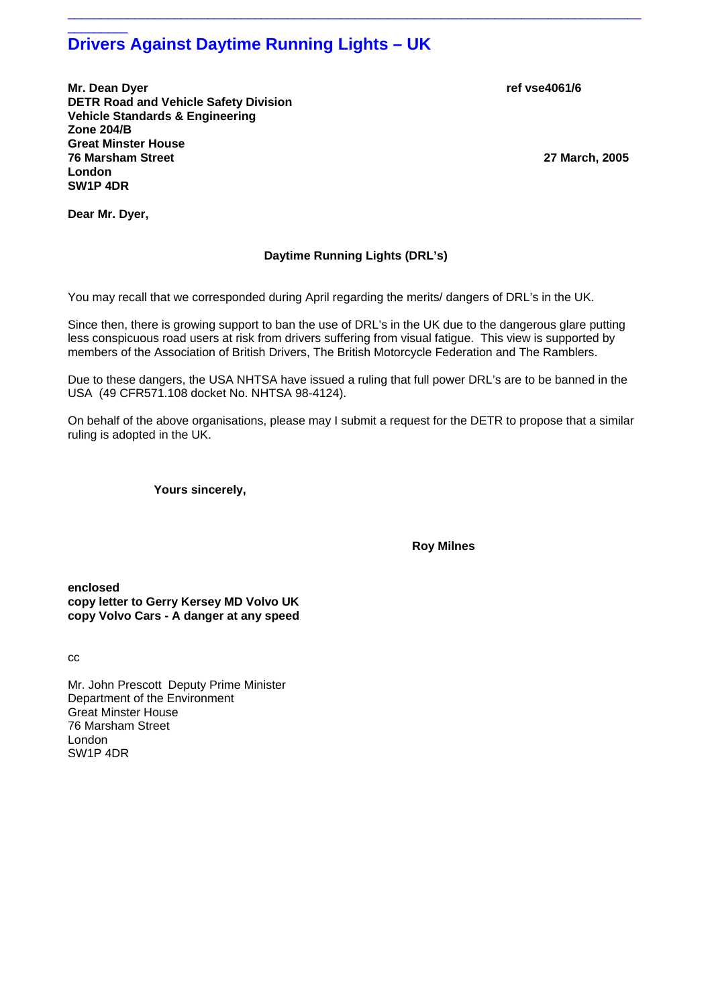# $\overline{\phantom{a}}$  ,  $\overline{\phantom{a}}$  ,  $\overline{\phantom{a}}$  ,  $\overline{\phantom{a}}$  ,  $\overline{\phantom{a}}$  ,  $\overline{\phantom{a}}$  ,  $\overline{\phantom{a}}$  ,  $\overline{\phantom{a}}$  ,  $\overline{\phantom{a}}$  ,  $\overline{\phantom{a}}$  ,  $\overline{\phantom{a}}$  ,  $\overline{\phantom{a}}$  ,  $\overline{\phantom{a}}$  ,  $\overline{\phantom{a}}$  ,  $\overline{\phantom{a}}$  ,  $\overline{\phantom{a}}$ **Drivers Against Daytime Running Lights – UK**

**Mr. Dean Dyer** ref vse4061/6 **and the set of the contract of the contract of the contract of the contract of the contract of the contract of the contract of the contract of the contract of the contract of the contract of DETR Road and Vehicle Safety Division Vehicle Standards & Engineering Zone 204/B Great Minster House 76 Marsham Street 27 March, 2005 London SW1P 4DR** 

**Dear Mr. Dyer,** 

# **Daytime Running Lights (DRL's)**

 $\_$  ,  $\_$  ,  $\_$  ,  $\_$  ,  $\_$  ,  $\_$  ,  $\_$  ,  $\_$  ,  $\_$  ,  $\_$  ,  $\_$  ,  $\_$  ,  $\_$  ,  $\_$  ,  $\_$  ,  $\_$  ,  $\_$  ,  $\_$  ,  $\_$  ,  $\_$  ,  $\_$  ,  $\_$  ,  $\_$  ,  $\_$  ,  $\_$  ,  $\_$  ,  $\_$  ,  $\_$  ,  $\_$  ,  $\_$  ,  $\_$  ,  $\_$  ,  $\_$  ,  $\_$  ,  $\_$  ,  $\_$  ,  $\_$  ,

You may recall that we corresponded during April regarding the merits/ dangers of DRL's in the UK.

Since then, there is growing support to ban the use of DRL's in the UK due to the dangerous glare putting less conspicuous road users at risk from drivers suffering from visual fatigue. This view is supported by members of the Association of British Drivers, The British Motorcycle Federation and The Ramblers.

Due to these dangers, the USA NHTSA have issued a ruling that full power DRL's are to be banned in the USA (49 CFR571.108 docket No. NHTSA 98-4124).

On behalf of the above organisations, please may I submit a request for the DETR to propose that a similar ruling is adopted in the UK.

 **Yours sincerely,** 

 **Roy Milnes** 

**enclosed copy letter to Gerry Kersey MD Volvo UK copy Volvo Cars - A danger at any speed** 

cc

Mr. John Prescott Deputy Prime Minister Department of the Environment Great Minster House 76 Marsham Street London SW1P 4DR